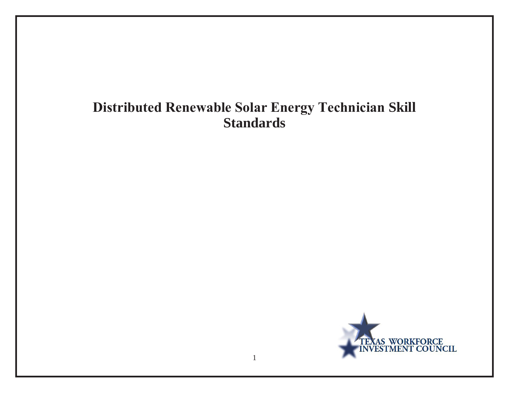# **Distributed Renewable Solar Energy Technician Skill Standards**

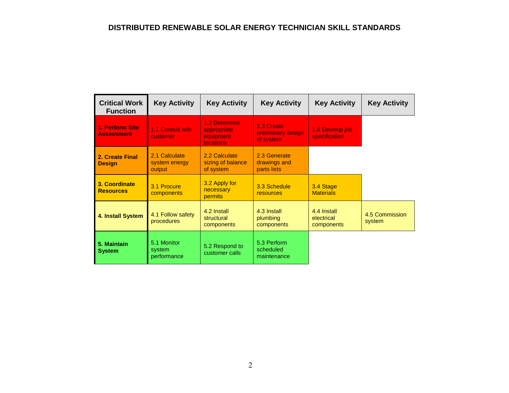| <b>Critical Work</b><br><b>Function</b> | <b>Key Activity</b>                      | <b>Key Activity</b>                                           | <b>Key Activity</b>                           | <b>Key Activity</b>                     | <b>Key Activity</b>      |
|-----------------------------------------|------------------------------------------|---------------------------------------------------------------|-----------------------------------------------|-----------------------------------------|--------------------------|
| 1. Perform Site<br><b>Assessment</b>    | 1.1 Consult with<br>customer             | 1.2 Determine<br>appropriate<br>equipment<br><b>locations</b> | 1.3 Create<br>preliminary design<br>of system | 1.4 Develop job<br>specification        |                          |
| 2. Create Final<br><b>Design</b>        | 2.1 Calculate<br>system energy<br>output | 2.2 Calculate<br>sizing of balance<br>of system               | 2.3 Generate<br>drawings and<br>parts lists   |                                         |                          |
| 3. Coordinate<br><b>Resources</b>       | 3.1 Procure<br>components                | 3.2 Apply for<br>necessary<br><b>permits</b>                  | 3.3 Schedule<br><b>resources</b>              | 3.4 Stage<br><b>Materials</b>           |                          |
| 4. Install System                       | 4.1 Follow safety<br>procedures          | 4.2 Install<br>structural<br>components                       | 4.3 Install<br>plumbing<br>components         | 4.4 Install<br>electrical<br>components | 4.5 Commission<br>system |
| 5. Maintain<br><b>System</b>            | 5.1 Monitor<br>system<br>performance     | 5.2 Respond to<br>customer calls                              | 5.3 Perform<br>scheduled<br>maintenance       |                                         |                          |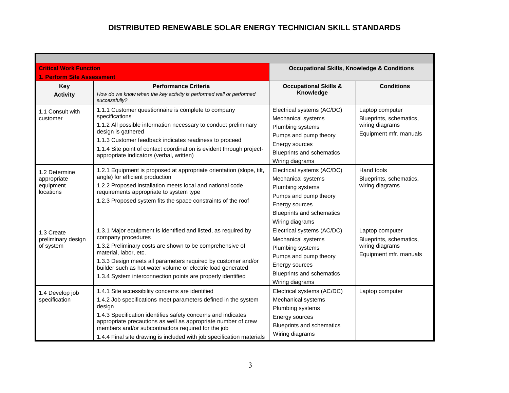| <b>Critical Work Function</b>                          |                                                                                                                                                                                                                                                                                                                                                                                              | <b>Occupational Skills, Knowledge &amp; Conditions</b>                                                                                                                 |                                                                                         |
|--------------------------------------------------------|----------------------------------------------------------------------------------------------------------------------------------------------------------------------------------------------------------------------------------------------------------------------------------------------------------------------------------------------------------------------------------------------|------------------------------------------------------------------------------------------------------------------------------------------------------------------------|-----------------------------------------------------------------------------------------|
| 1. Perform Site Assessment                             |                                                                                                                                                                                                                                                                                                                                                                                              |                                                                                                                                                                        |                                                                                         |
| <b>Key</b>                                             | <b>Performance Criteria</b>                                                                                                                                                                                                                                                                                                                                                                  | <b>Occupational Skills &amp;</b>                                                                                                                                       | <b>Conditions</b>                                                                       |
| <b>Activity</b>                                        | How do we know when the key activity is performed well or performed<br>successfully?                                                                                                                                                                                                                                                                                                         | Knowledge                                                                                                                                                              |                                                                                         |
| 1.1 Consult with<br>customer                           | 1.1.1 Customer questionnaire is complete to company<br>specifications<br>1.1.2 All possible information necessary to conduct preliminary<br>design is gathered<br>1.1.3 Customer feedback indicates readiness to proceed<br>1.1.4 Site point of contact coordination is evident through project-<br>appropriate indicators (verbal, written)                                                 | Electrical systems (AC/DC)<br>Mechanical systems<br>Plumbing systems<br>Pumps and pump theory<br>Energy sources<br><b>Blueprints and schematics</b><br>Wiring diagrams | Laptop computer<br>Blueprints, schematics,<br>wiring diagrams<br>Equipment mfr. manuals |
| 1.2 Determine<br>appropriate<br>equipment<br>locations | 1.2.1 Equipment is proposed at appropriate orientation (slope, tilt,<br>angle) for efficient production<br>1.2.2 Proposed installation meets local and national code<br>requirements appropriate to system type<br>1.2.3 Proposed system fits the space constraints of the roof                                                                                                              | Electrical systems (AC/DC)<br>Mechanical systems<br>Plumbing systems<br>Pumps and pump theory<br>Energy sources<br><b>Blueprints and schematics</b><br>Wiring diagrams | Hand tools<br>Blueprints, schematics,<br>wiring diagrams                                |
| 1.3 Create<br>preliminary design<br>of system          | 1.3.1 Major equipment is identified and listed, as required by<br>company procedures<br>1.3.2 Preliminary costs are shown to be comprehensive of<br>material, labor, etc.<br>1.3.3 Design meets all parameters required by customer and/or<br>builder such as hot water volume or electric load generated<br>1.3.4 System interconnection points are properly identified                     | Electrical systems (AC/DC)<br>Mechanical systems<br>Plumbing systems<br>Pumps and pump theory<br>Energy sources<br><b>Blueprints and schematics</b><br>Wiring diagrams | Laptop computer<br>Blueprints, schematics,<br>wiring diagrams<br>Equipment mfr. manuals |
| 1.4 Develop job<br>specification                       | 1.4.1 Site accessibility concerns are identified<br>1.4.2 Job specifications meet parameters defined in the system<br>design<br>1.4.3 Specification identifies safety concerns and indicates<br>appropriate precautions as well as appropriate number of crew<br>members and/or subcontractors required for the job<br>1.4.4 Final site drawing is included with job specification materials | Electrical systems (AC/DC)<br>Mechanical systems<br>Plumbing systems<br>Energy sources<br><b>Blueprints and schematics</b><br>Wiring diagrams                          | Laptop computer                                                                         |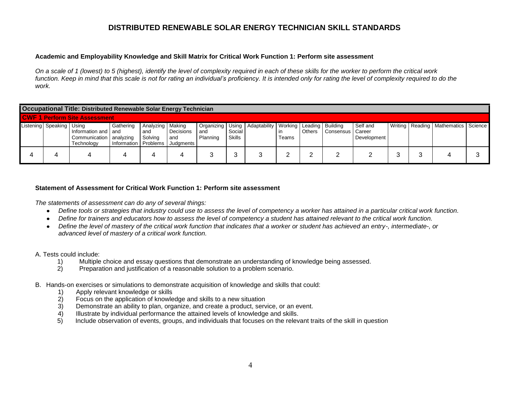#### **Academic and Employability Knowledge and Skill Matrix for Critical Work Function 1: Perform site assessment**

*On a scale of 1 (lowest) to 5 (highest), identify the level of complexity required in each of these skills for the worker to perform the critical work*  function. Keep in mind that this scale is not for rating an individual's proficiency. It is intended only for rating the level of complexity required to do the *work.* 

|                                      | <b>Occupational Title: Distributed Renewable Solar Energy Technician</b> |                                                                    |                                     |                                      |                               |                 |                  |                                                                  |       |               |                    |                         |  |                                           |  |
|--------------------------------------|--------------------------------------------------------------------------|--------------------------------------------------------------------|-------------------------------------|--------------------------------------|-------------------------------|-----------------|------------------|------------------------------------------------------------------|-------|---------------|--------------------|-------------------------|--|-------------------------------------------|--|
| <b>CWF 1 Perform Site Assessment</b> |                                                                          |                                                                    |                                     |                                      |                               |                 |                  |                                                                  |       |               |                    |                         |  |                                           |  |
|                                      | Listening Speaking Using                                                 | I Information and I and<br>Communication   analyzing<br>Technology | Gathering<br>Information   Problems | Analyzing   Making<br>and<br>Solving | Decisions<br>and<br>Judgments | and<br>Planning | Social<br>Skills | Organizing   Using   Adaptability   Working   Leading   Building | Teams | <b>Others</b> | Consensus   Career | Self and<br>Development |  | Writing   Reading   Mathematics   Science |  |
|                                      |                                                                          |                                                                    |                                     |                                      |                               |                 | о<br>J           |                                                                  |       | <u>.</u>      |                    |                         |  |                                           |  |

#### **Statement of Assessment for Critical Work Function 1: Perform site assessment**

*The statements of assessment can do any of several things:* 

- *Define tools or strategies that industry could use to assess the level of competency a worker has attained in a particular critical work function.*
- *Define for trainers and educators how to assess the level of competency a student has attained relevant to the critical work function.*
- *Define the level of mastery of the critical work function that indicates that a worker or student has achieved an entry-, intermediate-, or advanced level of mastery of a critical work function.*

- 1) Multiple choice and essay questions that demonstrate an understanding of knowledge being assessed.
- 2) Preparation and justification of a reasonable solution to a problem scenario.
- B. Hands-on exercises or simulations to demonstrate acquisition of knowledge and skills that could:
	- 1) Apply relevant knowledge or skills
	- 2) Focus on the application of knowledge and skills to a new situation
	- 3) Demonstrate an ability to plan, organize, and create a product, service, or an event.
	- 4) Illustrate by individual performance the attained levels of knowledge and skills.
	- 5) Include observation of events, groups, and individuals that focuses on the relevant traits of the skill in question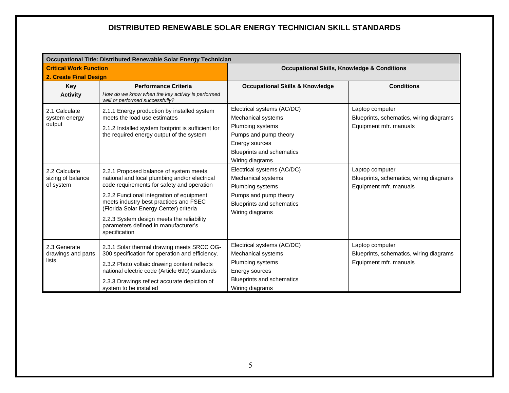|                                                 | Occupational Title: Distributed Renewable Solar Energy Technician                                                                                                                                                                                                                                                                                           |                                                                                                                                                      |                                                                                      |
|-------------------------------------------------|-------------------------------------------------------------------------------------------------------------------------------------------------------------------------------------------------------------------------------------------------------------------------------------------------------------------------------------------------------------|------------------------------------------------------------------------------------------------------------------------------------------------------|--------------------------------------------------------------------------------------|
| <b>Critical Work Function</b>                   |                                                                                                                                                                                                                                                                                                                                                             | <b>Occupational Skills, Knowledge &amp; Conditions</b>                                                                                               |                                                                                      |
| 2. Create Final Design                          |                                                                                                                                                                                                                                                                                                                                                             |                                                                                                                                                      |                                                                                      |
| <b>Key</b>                                      | <b>Performance Criteria</b>                                                                                                                                                                                                                                                                                                                                 | <b>Occupational Skills &amp; Knowledge</b>                                                                                                           | <b>Conditions</b>                                                                    |
| <b>Activity</b>                                 | How do we know when the key activity is performed<br>well or performed successfully?                                                                                                                                                                                                                                                                        |                                                                                                                                                      |                                                                                      |
| 2.1 Calculate<br>system energy<br>output        | 2.1.1 Energy production by installed system<br>meets the load use estimates<br>2.1.2 Installed system footprint is sufficient for<br>the required energy output of the system                                                                                                                                                                               | Electrical systems (AC/DC)<br>Mechanical systems<br>Plumbing systems<br>Pumps and pump theory<br>Energy sources<br><b>Blueprints and schematics</b>  | Laptop computer<br>Blueprints, schematics, wiring diagrams<br>Equipment mfr. manuals |
|                                                 |                                                                                                                                                                                                                                                                                                                                                             | Wiring diagrams                                                                                                                                      |                                                                                      |
| 2.2 Calculate<br>sizing of balance<br>of system | 2.2.1 Proposed balance of system meets<br>national and local plumbing and/or electrical<br>code requirements for safety and operation<br>2.2.2 Functional integration of equipment<br>meets industry best practices and FSEC<br>(Florida Solar Energy Center) criteria<br>2.2.3 System design meets the reliability<br>parameters defined in manufacturer's | Electrical systems (AC/DC)<br>Mechanical systems<br>Plumbing systems<br>Pumps and pump theory<br><b>Blueprints and schematics</b><br>Wiring diagrams | Laptop computer<br>Blueprints, schematics, wiring diagrams<br>Equipment mfr. manuals |
|                                                 | specification                                                                                                                                                                                                                                                                                                                                               |                                                                                                                                                      |                                                                                      |
| 2.3 Generate<br>drawings and parts<br>lists     | 2.3.1 Solar thermal drawing meets SRCC OG-<br>300 specification for operation and efficiency.<br>2.3.2 Photo voltaic drawing content reflects<br>national electric code (Article 690) standards                                                                                                                                                             | Electrical systems (AC/DC)<br>Mechanical systems<br>Plumbing systems<br>Energy sources                                                               | Laptop computer<br>Blueprints, schematics, wiring diagrams<br>Equipment mfr. manuals |
|                                                 | 2.3.3 Drawings reflect accurate depiction of<br>system to be installed                                                                                                                                                                                                                                                                                      | Blueprints and schematics<br>Wiring diagrams                                                                                                         |                                                                                      |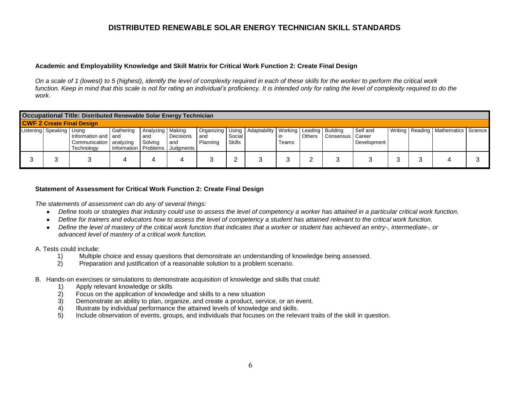#### **Academic and Employability Knowledge and Skill Matrix for Critical Work Function 2: Create Final Design**

*On a scale of 1 (lowest) to 5 (highest), identify the level of complexity required in each of these skills for the worker to perform the critical work*  function. Keep in mind that this scale is not for rating an individual's proficiency. It is intended only for rating the level of complexity required to do the *work.* 

| Occupational Title: Distributed Renewable Solar Energy Technician |                                                                    |                                     |                                      |                               |                 |                  |                                                                  |       |               |                    |                         |  |                                           |  |
|-------------------------------------------------------------------|--------------------------------------------------------------------|-------------------------------------|--------------------------------------|-------------------------------|-----------------|------------------|------------------------------------------------------------------|-------|---------------|--------------------|-------------------------|--|-------------------------------------------|--|
| <b>CWF 2 Create Final Design</b>                                  |                                                                    |                                     |                                      |                               |                 |                  |                                                                  |       |               |                    |                         |  |                                           |  |
| Listening Speaking Using                                          | I Information and I and<br>Communication   analyzing<br>Technology | Gathering<br>Information   Problems | Analyzing   Making<br>and<br>Solving | Decisions<br>and<br>Judgments | and<br>Planning | Social<br>Skills | Organizing   Using   Adaptability   Working   Leading   Building | Teams | <b>Others</b> | Consensus   Career | Self and<br>Development |  | Writing   Reading   Mathematics   Science |  |
|                                                                   |                                                                    |                                     |                                      |                               |                 | <u>.</u>         |                                                                  |       |               |                    |                         |  |                                           |  |

#### **Statement of Assessment for Critical Work Function 2: Create Final Design**

*The statements of assessment can do any of several things:* 

- *Define tools or strategies that industry could use to assess the level of competency a worker has attained in a particular critical work function.*
- *Define for trainers and educators how to assess the level of competency a student has attained relevant to the critical work function.*
- *Define the level of mastery of the critical work function that indicates that a worker or student has achieved an entry-, intermediate-, or advanced level of mastery of a critical work function.*

- 1) Multiple choice and essay questions that demonstrate an understanding of knowledge being assessed.
- 2) Preparation and justification of a reasonable solution to a problem scenario.
- B. Hands-on exercises or simulations to demonstrate acquisition of knowledge and skills that could:
	- 1) Apply relevant knowledge or skills
	- 2) Focus on the application of knowledge and skills to a new situation
	- 3) Demonstrate an ability to plan, organize, and create a product, service, or an event.
	- 4) Illustrate by individual performance the attained levels of knowledge and skills.
	- 5) Include observation of events, groups, and individuals that focuses on the relevant traits of the skill in question.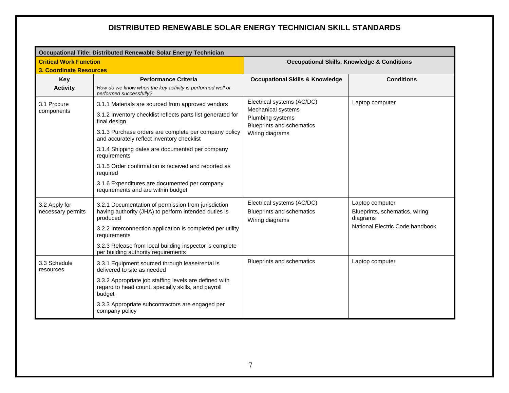|                                | Occupational Title: Distributed Renewable Solar Energy Technician                                                       |                                                      |                                                        |  |  |  |  |  |  |  |  |
|--------------------------------|-------------------------------------------------------------------------------------------------------------------------|------------------------------------------------------|--------------------------------------------------------|--|--|--|--|--|--|--|--|
| <b>Critical Work Function</b>  |                                                                                                                         |                                                      | <b>Occupational Skills, Knowledge &amp; Conditions</b> |  |  |  |  |  |  |  |  |
| <b>3. Coordinate Resources</b> |                                                                                                                         |                                                      |                                                        |  |  |  |  |  |  |  |  |
| Key                            | <b>Performance Criteria</b>                                                                                             | <b>Occupational Skills &amp; Knowledge</b>           | <b>Conditions</b>                                      |  |  |  |  |  |  |  |  |
| <b>Activity</b>                | How do we know when the key activity is performed well or<br>performed successfully?                                    |                                                      |                                                        |  |  |  |  |  |  |  |  |
| 3.1 Procure                    | 3.1.1 Materials are sourced from approved vendors                                                                       | Electrical systems (AC/DC)<br>Mechanical systems     | Laptop computer                                        |  |  |  |  |  |  |  |  |
| components                     | 3.1.2 Inventory checklist reflects parts list generated for<br>final design                                             | Plumbing systems<br><b>Blueprints and schematics</b> |                                                        |  |  |  |  |  |  |  |  |
|                                | 3.1.3 Purchase orders are complete per company policy<br>and accurately reflect inventory checklist                     | Wiring diagrams                                      |                                                        |  |  |  |  |  |  |  |  |
|                                | 3.1.4 Shipping dates are documented per company<br>requirements                                                         |                                                      |                                                        |  |  |  |  |  |  |  |  |
|                                | 3.1.5 Order confirmation is received and reported as<br>required                                                        |                                                      |                                                        |  |  |  |  |  |  |  |  |
|                                | 3.1.6 Expenditures are documented per company<br>requirements and are within budget                                     |                                                      |                                                        |  |  |  |  |  |  |  |  |
| 3.2 Apply for                  | 3.2.1 Documentation of permission from jurisdiction                                                                     | Electrical systems (AC/DC)                           | Laptop computer                                        |  |  |  |  |  |  |  |  |
| necessary permits              | having authority (JHA) to perform intended duties is<br>produced                                                        | <b>Blueprints and schematics</b><br>Wiring diagrams  | Blueprints, schematics, wiring<br>diagrams             |  |  |  |  |  |  |  |  |
|                                | 3.2.2 Interconnection application is completed per utility<br>requirements                                              |                                                      | National Electric Code handbook                        |  |  |  |  |  |  |  |  |
|                                | 3.2.3 Release from local building inspector is complete<br>per building authority requirements                          |                                                      |                                                        |  |  |  |  |  |  |  |  |
| 3.3 Schedule<br>resources      | 3.3.1 Equipment sourced through lease/rental is<br>delivered to site as needed                                          | <b>Blueprints and schematics</b>                     | Laptop computer                                        |  |  |  |  |  |  |  |  |
|                                | 3.3.2 Appropriate job staffing levels are defined with<br>regard to head count, specialty skills, and payroll<br>budget |                                                      |                                                        |  |  |  |  |  |  |  |  |
|                                | 3.3.3 Appropriate subcontractors are engaged per<br>company policy                                                      |                                                      |                                                        |  |  |  |  |  |  |  |  |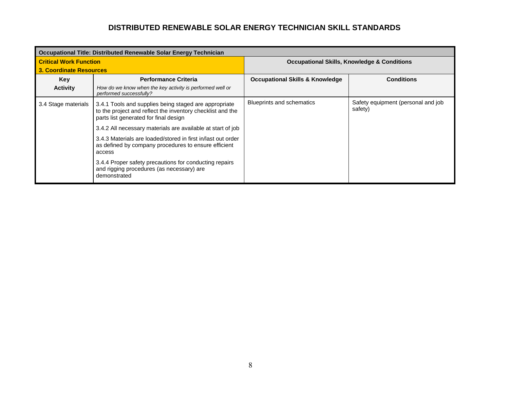|                               | Occupational Title: Distributed Renewable Solar Energy Technician                                                                                            |                                                        |                                               |  |  |  |  |  |  |
|-------------------------------|--------------------------------------------------------------------------------------------------------------------------------------------------------------|--------------------------------------------------------|-----------------------------------------------|--|--|--|--|--|--|
| <b>Critical Work Function</b> |                                                                                                                                                              | <b>Occupational Skills, Knowledge &amp; Conditions</b> |                                               |  |  |  |  |  |  |
| 3. Coordinate Resources       |                                                                                                                                                              |                                                        |                                               |  |  |  |  |  |  |
| Key                           | <b>Performance Criteria</b>                                                                                                                                  | <b>Occupational Skills &amp; Knowledge</b>             | <b>Conditions</b>                             |  |  |  |  |  |  |
| <b>Activity</b>               | How do we know when the key activity is performed well or<br>performed successfully?                                                                         |                                                        |                                               |  |  |  |  |  |  |
| 3.4 Stage materials           | 3.4.1 Tools and supplies being staged are appropriate<br>to the project and reflect the inventory checklist and the<br>parts list generated for final design | <b>Blueprints and schematics</b>                       | Safety equipment (personal and job<br>safety) |  |  |  |  |  |  |
|                               | 3.4.2 All necessary materials are available at start of job                                                                                                  |                                                        |                                               |  |  |  |  |  |  |
|                               | 3.4.3 Materials are loaded/stored in first in/last out order<br>as defined by company procedures to ensure efficient<br>access                               |                                                        |                                               |  |  |  |  |  |  |
|                               | 3.4.4 Proper safety precautions for conducting repairs<br>and rigging procedures (as necessary) are<br>demonstrated                                          |                                                        |                                               |  |  |  |  |  |  |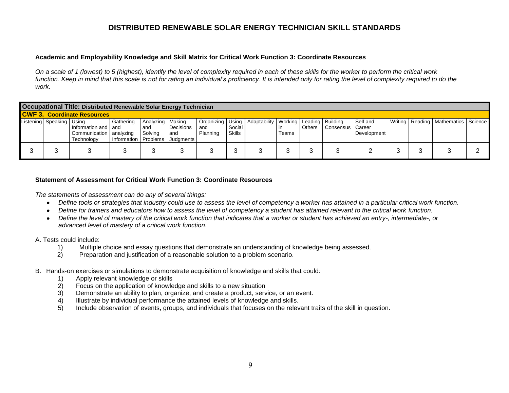#### **Academic and Employability Knowledge and Skill Matrix for Critical Work Function 3: Coordinate Resources**

*On a scale of 1 (lowest) to 5 (highest), identify the level of complexity required in each of these skills for the worker to perform the critical work*  function. Keep in mind that this scale is not for rating an individual's proficiency. It is intended only for rating the level of complexity required to do the *work.* 

| Occupational Title: Distributed Renewable Solar Energy Technician |                                                                  |                                     |                                      |                               |                 |                  |                                                                  |       |               |                    |                         |  |                                           |  |
|-------------------------------------------------------------------|------------------------------------------------------------------|-------------------------------------|--------------------------------------|-------------------------------|-----------------|------------------|------------------------------------------------------------------|-------|---------------|--------------------|-------------------------|--|-------------------------------------------|--|
| <b>CWF 3. Coordinate Resources</b>                                |                                                                  |                                     |                                      |                               |                 |                  |                                                                  |       |               |                    |                         |  |                                           |  |
| Listening Speaking   Using                                        | Information and I and<br>Communication   analyzing<br>Technology | Gathering<br>Information   Problems | Analyzing   Making<br>and<br>Solving | Decisions<br>and<br>Judgments | and<br>Planning | Social<br>Skills | Organizing   Using   Adaptability   Working   Leading   Building | Teams | <b>Others</b> | Consensus   Career | Self and<br>Development |  | Writing   Reading   Mathematics   Science |  |
|                                                                   |                                                                  |                                     |                                      |                               |                 | ٮ                |                                                                  |       |               |                    |                         |  |                                           |  |

#### **Statement of Assessment for Critical Work Function 3: Coordinate Resources**

*The statements of assessment can do any of several things:* 

- *Define tools or strategies that industry could use to assess the level of competency a worker has attained in a particular critical work function.*
- *Define for trainers and educators how to assess the level of competency a student has attained relevant to the critical work function.*
- *Define the level of mastery of the critical work function that indicates that a worker or student has achieved an entry-, intermediate-, or advanced level of mastery of a critical work function.*

- 1) Multiple choice and essay questions that demonstrate an understanding of knowledge being assessed.
- 2) Preparation and justification of a reasonable solution to a problem scenario.
- B. Hands-on exercises or simulations to demonstrate acquisition of knowledge and skills that could:
	- 1) Apply relevant knowledge or skills
	- 2) Focus on the application of knowledge and skills to a new situation
	- 3) Demonstrate an ability to plan, organize, and create a product, service, or an event.
	- 4) Illustrate by individual performance the attained levels of knowledge and skills.
	- 5) Include observation of events, groups, and individuals that focuses on the relevant traits of the skill in question.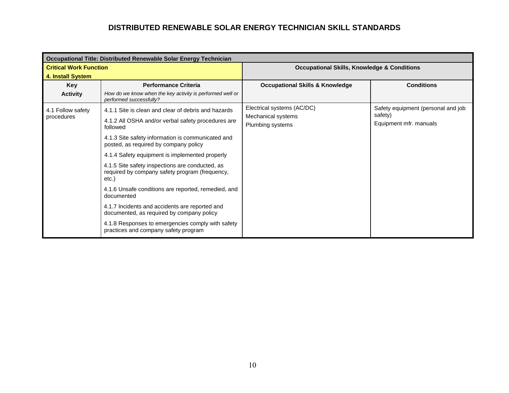|                               | Occupational Title: Distributed Renewable Solar Energy Technician                                          |                                                        |                                               |
|-------------------------------|------------------------------------------------------------------------------------------------------------|--------------------------------------------------------|-----------------------------------------------|
| <b>Critical Work Function</b> |                                                                                                            | <b>Occupational Skills, Knowledge &amp; Conditions</b> |                                               |
| 4. Install System             |                                                                                                            |                                                        |                                               |
| Key                           | <b>Performance Criteria</b>                                                                                | <b>Occupational Skills &amp; Knowledge</b>             | <b>Conditions</b>                             |
| <b>Activity</b>               | How do we know when the key activity is performed well or<br>performed successfully?                       |                                                        |                                               |
| 4.1 Follow safety             | 4.1.1 Site is clean and clear of debris and hazards                                                        | Electrical systems (AC/DC)<br>Mechanical systems       | Safety equipment (personal and job<br>safety) |
| procedures                    | 4.1.2 All OSHA and/or verbal safety procedures are<br>followed                                             | Plumbing systems                                       | Equipment mfr. manuals                        |
|                               | 4.1.3 Site safety information is communicated and<br>posted, as required by company policy                 |                                                        |                                               |
|                               | 4.1.4 Safety equipment is implemented properly                                                             |                                                        |                                               |
|                               | 4.1.5 Site safety inspections are conducted, as<br>required by company safety program (frequency,<br>etc.) |                                                        |                                               |
|                               | 4.1.6 Unsafe conditions are reported, remedied, and<br>documented                                          |                                                        |                                               |
|                               | 4.1.7 Incidents and accidents are reported and<br>documented, as required by company policy                |                                                        |                                               |
|                               | 4.1.8 Responses to emergencies comply with safety<br>practices and company safety program                  |                                                        |                                               |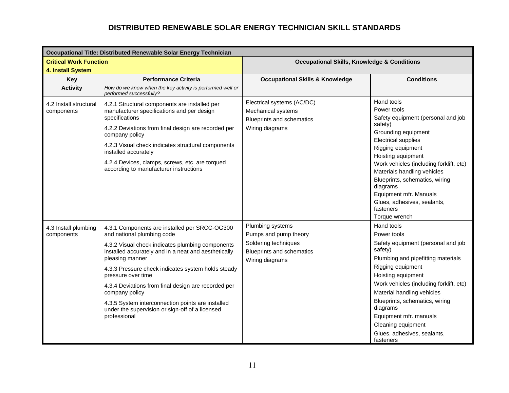|                                                    | Occupational Title: Distributed Renewable Solar Energy Technician                                                                                                                                                                                                                                                                                                                                                                                                                       |                                                                                                                          |                                                                                                                                                                                                                                                                                                                                                                                           |
|----------------------------------------------------|-----------------------------------------------------------------------------------------------------------------------------------------------------------------------------------------------------------------------------------------------------------------------------------------------------------------------------------------------------------------------------------------------------------------------------------------------------------------------------------------|--------------------------------------------------------------------------------------------------------------------------|-------------------------------------------------------------------------------------------------------------------------------------------------------------------------------------------------------------------------------------------------------------------------------------------------------------------------------------------------------------------------------------------|
| <b>Critical Work Function</b><br>4. Install System |                                                                                                                                                                                                                                                                                                                                                                                                                                                                                         | <b>Occupational Skills, Knowledge &amp; Conditions</b>                                                                   |                                                                                                                                                                                                                                                                                                                                                                                           |
| <b>Key</b><br><b>Activity</b>                      | <b>Performance Criteria</b><br>How do we know when the key activity is performed well or<br>performed successfully?                                                                                                                                                                                                                                                                                                                                                                     | <b>Occupational Skills &amp; Knowledge</b>                                                                               | <b>Conditions</b>                                                                                                                                                                                                                                                                                                                                                                         |
| 4.2 Install structural<br>components               | 4.2.1 Structural components are installed per<br>manufacturer specifications and per design<br>specifications<br>4.2.2 Deviations from final design are recorded per<br>company policy<br>4.2.3 Visual check indicates structural components<br>installed accurately<br>4.2.4 Devices, clamps, screws, etc. are torqued<br>according to manufacturer instructions                                                                                                                       | Electrical systems (AC/DC)<br>Mechanical systems<br><b>Blueprints and schematics</b><br>Wiring diagrams                  | Hand tools<br>Power tools<br>Safety equipment (personal and job<br>safety)<br>Grounding equipment<br><b>Electrical supplies</b><br>Rigging equipment<br>Hoisting equipment<br>Work vehicles (including forklift, etc)<br>Materials handling vehicles<br>Blueprints, schematics, wiring<br>diagrams<br>Equipment mfr. Manuals<br>Glues, adhesives, sealants,<br>fasteners<br>Torque wrench |
| 4.3 Install plumbing<br>components                 | 4.3.1 Components are installed per SRCC-OG300<br>and national plumbing code<br>4.3.2 Visual check indicates plumbing components<br>installed accurately and in a neat and aesthetically<br>pleasing manner<br>4.3.3 Pressure check indicates system holds steady<br>pressure over time<br>4.3.4 Deviations from final design are recorded per<br>company policy<br>4.3.5 System interconnection points are installed<br>under the supervision or sign-off of a licensed<br>professional | Plumbing systems<br>Pumps and pump theory<br>Soldering techniques<br><b>Blueprints and schematics</b><br>Wiring diagrams | Hand tools<br>Power tools<br>Safety equipment (personal and job<br>safety)<br>Plumbing and pipefitting materials<br>Rigging equipment<br>Hoisting equipment<br>Work vehicles (including forklift, etc)<br>Material handling vehicles<br>Blueprints, schematics, wiring<br>diagrams<br>Equipment mfr. manuals<br>Cleaning equipment<br>Glues, adhesives, sealants,<br>fasteners            |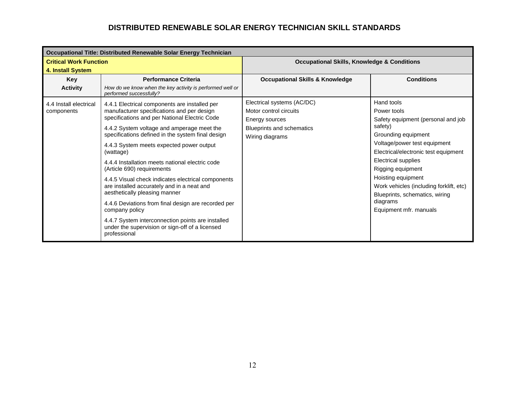|                               | Occupational Title: Distributed Renewable Solar Energy Technician                                                    |                                                        |                                         |  |  |  |  |  |  |  |
|-------------------------------|----------------------------------------------------------------------------------------------------------------------|--------------------------------------------------------|-----------------------------------------|--|--|--|--|--|--|--|
| <b>Critical Work Function</b> |                                                                                                                      | <b>Occupational Skills, Knowledge &amp; Conditions</b> |                                         |  |  |  |  |  |  |  |
| 4. Install System             |                                                                                                                      |                                                        |                                         |  |  |  |  |  |  |  |
| Key                           | <b>Performance Criteria</b>                                                                                          | <b>Occupational Skills &amp; Knowledge</b>             | <b>Conditions</b>                       |  |  |  |  |  |  |  |
| <b>Activity</b>               | How do we know when the key activity is performed well or<br>performed successfully?                                 |                                                        |                                         |  |  |  |  |  |  |  |
| 4.4 Install electrical        | 4.4.1 Electrical components are installed per                                                                        | Electrical systems (AC/DC)                             | Hand tools                              |  |  |  |  |  |  |  |
| components                    | manufacturer specifications and per design                                                                           | Motor control circuits                                 | Power tools                             |  |  |  |  |  |  |  |
|                               | specifications and per National Electric Code                                                                        | Energy sources                                         | Safety equipment (personal and job      |  |  |  |  |  |  |  |
|                               | 4.4.2 System voltage and amperage meet the                                                                           | Blueprints and schematics                              | safety)                                 |  |  |  |  |  |  |  |
|                               | specifications defined in the system final design                                                                    | Wiring diagrams                                        | Grounding equipment                     |  |  |  |  |  |  |  |
|                               | 4.4.3 System meets expected power output                                                                             |                                                        | Voltage/power test equipment            |  |  |  |  |  |  |  |
|                               | (wattage)                                                                                                            |                                                        | Electrical/electronic test equipment    |  |  |  |  |  |  |  |
|                               | 4.4.4 Installation meets national electric code                                                                      |                                                        | <b>Electrical supplies</b>              |  |  |  |  |  |  |  |
|                               | (Article 690) requirements                                                                                           |                                                        | Rigging equipment                       |  |  |  |  |  |  |  |
|                               | 4.4.5 Visual check indicates electrical components                                                                   |                                                        | Hoisting equipment                      |  |  |  |  |  |  |  |
|                               | are installed accurately and in a neat and<br>aesthetically pleasing manner                                          |                                                        | Work vehicles (including forklift, etc) |  |  |  |  |  |  |  |
|                               |                                                                                                                      |                                                        | Blueprints, schematics, wiring          |  |  |  |  |  |  |  |
|                               | 4.4.6 Deviations from final design are recorded per                                                                  |                                                        | diagrams                                |  |  |  |  |  |  |  |
|                               | company policy                                                                                                       |                                                        | Equipment mfr. manuals                  |  |  |  |  |  |  |  |
|                               | 4.4.7 System interconnection points are installed<br>under the supervision or sign-off of a licensed<br>professional |                                                        |                                         |  |  |  |  |  |  |  |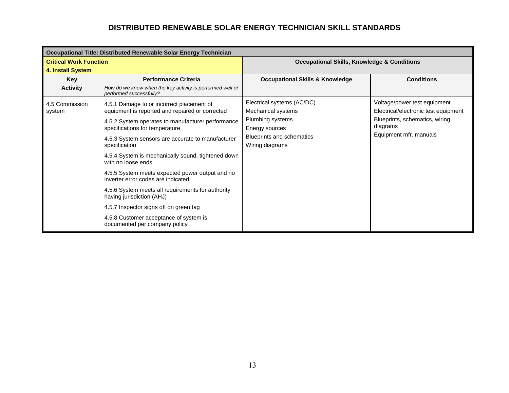|                               | Occupational Title: Distributed Renewable Solar Energy Technician                     |                                                        |                                      |  |  |  |  |
|-------------------------------|---------------------------------------------------------------------------------------|--------------------------------------------------------|--------------------------------------|--|--|--|--|
| <b>Critical Work Function</b> |                                                                                       | <b>Occupational Skills, Knowledge &amp; Conditions</b> |                                      |  |  |  |  |
| 4. Install System             |                                                                                       |                                                        |                                      |  |  |  |  |
| Key                           | <b>Performance Criteria</b>                                                           | <b>Occupational Skills &amp; Knowledge</b>             | <b>Conditions</b>                    |  |  |  |  |
| <b>Activity</b>               | How do we know when the key activity is performed well or<br>performed successfully?  |                                                        |                                      |  |  |  |  |
| 4.5 Commission                | 4.5.1 Damage to or incorrect placement of                                             | Electrical systems (AC/DC)                             | Voltage/power test equipment         |  |  |  |  |
| system                        | equipment is reported and repaired or corrected                                       | Mechanical systems                                     | Electrical/electronic test equipment |  |  |  |  |
|                               | 4.5.2 System operates to manufacturer performance                                     | Plumbing systems                                       | Blueprints, schematics, wiring       |  |  |  |  |
|                               | specifications for temperature                                                        | Energy sources                                         | diagrams                             |  |  |  |  |
|                               | 4.5.3 System sensors are accurate to manufacturer                                     | Blueprints and schematics                              | Equipment mfr. manuals               |  |  |  |  |
|                               | specification                                                                         | Wiring diagrams                                        |                                      |  |  |  |  |
|                               | 4.5.4 System is mechanically sound, tightened down<br>with no loose ends              |                                                        |                                      |  |  |  |  |
|                               | 4.5.5 System meets expected power output and no<br>inverter error codes are indicated |                                                        |                                      |  |  |  |  |
|                               | 4.5.6 System meets all requirements for authority<br>having jurisdiction (AHJ)        |                                                        |                                      |  |  |  |  |
|                               | 4.5.7 Inspector signs off on green tag                                                |                                                        |                                      |  |  |  |  |
|                               | 4.5.8 Customer acceptance of system is<br>documented per company policy               |                                                        |                                      |  |  |  |  |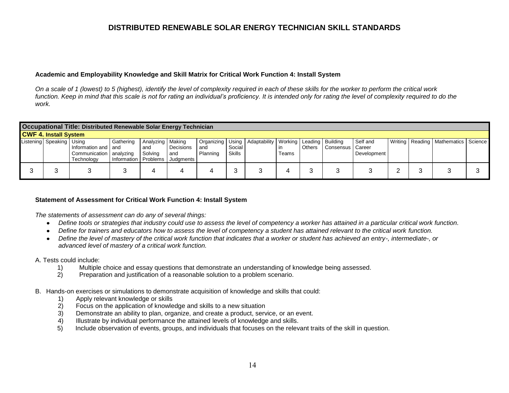#### **Academic and Employability Knowledge and Skill Matrix for Critical Work Function 4: Install System**

*On a scale of 1 (lowest) to 5 (highest), identify the level of complexity required in each of these skills for the worker to perform the critical work*  function. Keep in mind that this scale is not for rating an individual's proficiency. It is intended only for rating the level of complexity required to do the *work.* 

| Occupational Title: Distributed Renewable Solar Energy Technician |                            |                                                                  |                                   |                                      |                               |                 |                  |                                                                  |             |               |                    |                         |          |                                           |  |
|-------------------------------------------------------------------|----------------------------|------------------------------------------------------------------|-----------------------------------|--------------------------------------|-------------------------------|-----------------|------------------|------------------------------------------------------------------|-------------|---------------|--------------------|-------------------------|----------|-------------------------------------------|--|
| <b>CWF 4. Install System</b>                                      |                            |                                                                  |                                   |                                      |                               |                 |                  |                                                                  |             |               |                    |                         |          |                                           |  |
|                                                                   | Listening Speaking   Using | Information and   and<br>Communication   analyzing<br>Technology | Gathering<br>Information Problems | Analyzing   Making<br>and<br>Solving | Decisions<br>and<br>Judgments | and<br>Planning | Social<br>Skills | Organizing   Using   Adaptability   Working   Leading   Building | ın<br>Teams | <b>Others</b> | Consensus   Career | Self and<br>Development |          | Writing   Reading   Mathematics   Science |  |
|                                                                   |                            |                                                                  |                                   |                                      |                               |                 | ັບ               |                                                                  |             |               |                    |                         | <u>.</u> |                                           |  |

#### **Statement of Assessment for Critical Work Function 4: Install System**

*The statements of assessment can do any of several things:* 

- *Define tools or strategies that industry could use to assess the level of competency a worker has attained in a particular critical work function.*
- *Define for trainers and educators how to assess the level of competency a student has attained relevant to the critical work function.*
- *Define the level of mastery of the critical work function that indicates that a worker or student has achieved an entry-, intermediate-, or advanced level of mastery of a critical work function.*

- 1) Multiple choice and essay questions that demonstrate an understanding of knowledge being assessed.
- 2) Preparation and justification of a reasonable solution to a problem scenario.
- B. Hands-on exercises or simulations to demonstrate acquisition of knowledge and skills that could:
	- 1) Apply relevant knowledge or skills
	- 2) Focus on the application of knowledge and skills to a new situation
	- 3) Demonstrate an ability to plan, organize, and create a product, service, or an event.
	- 4) Illustrate by individual performance the attained levels of knowledge and skills.
	- 5) Include observation of events, groups, and individuals that focuses on the relevant traits of the skill in question.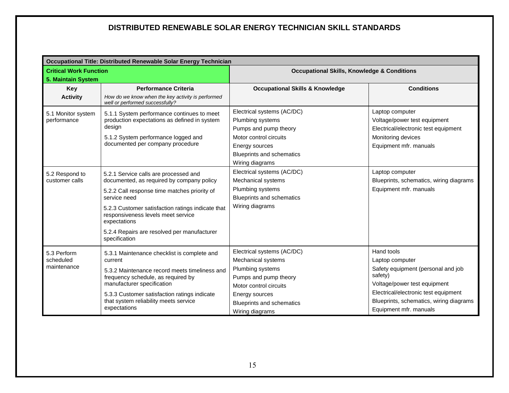|                               | Occupational Title: Distributed Renewable Solar Energy Technician                                       |                                                        |                                         |  |  |  |  |  |  |
|-------------------------------|---------------------------------------------------------------------------------------------------------|--------------------------------------------------------|-----------------------------------------|--|--|--|--|--|--|
| <b>Critical Work Function</b> |                                                                                                         | <b>Occupational Skills, Knowledge &amp; Conditions</b> |                                         |  |  |  |  |  |  |
| 5. Maintain System            |                                                                                                         |                                                        |                                         |  |  |  |  |  |  |
| Key                           | <b>Performance Criteria</b>                                                                             | <b>Occupational Skills &amp; Knowledge</b>             | <b>Conditions</b>                       |  |  |  |  |  |  |
| <b>Activity</b>               | How do we know when the key activity is performed<br>well or performed successfully?                    |                                                        |                                         |  |  |  |  |  |  |
| 5.1 Monitor system            | 5.1.1 System performance continues to meet                                                              | Electrical systems (AC/DC)                             | Laptop computer                         |  |  |  |  |  |  |
| performance                   | production expectations as defined in system                                                            | Plumbing systems                                       | Voltage/power test equipment            |  |  |  |  |  |  |
|                               | design                                                                                                  | Pumps and pump theory                                  | Electrical/electronic test equipment    |  |  |  |  |  |  |
|                               | 5.1.2 System performance logged and                                                                     | Motor control circuits                                 | Monitoring devices                      |  |  |  |  |  |  |
|                               | documented per company procedure                                                                        | Energy sources                                         | Equipment mfr. manuals                  |  |  |  |  |  |  |
|                               |                                                                                                         | <b>Blueprints and schematics</b>                       |                                         |  |  |  |  |  |  |
|                               |                                                                                                         | Wiring diagrams                                        |                                         |  |  |  |  |  |  |
| 5.2 Respond to                | 5.2.1 Service calls are processed and                                                                   | Electrical systems (AC/DC)                             | Laptop computer                         |  |  |  |  |  |  |
| customer calls                | documented, as required by company policy                                                               | Mechanical systems                                     | Blueprints, schematics, wiring diagrams |  |  |  |  |  |  |
|                               | 5.2.2 Call response time matches priority of                                                            | Plumbing systems                                       | Equipment mfr. manuals                  |  |  |  |  |  |  |
|                               | service need                                                                                            | <b>Blueprints and schematics</b>                       |                                         |  |  |  |  |  |  |
|                               | 5.2.3 Customer satisfaction ratings indicate that<br>responsiveness levels meet service<br>expectations | Wiring diagrams                                        |                                         |  |  |  |  |  |  |
|                               | 5.2.4 Repairs are resolved per manufacturer<br>specification                                            |                                                        |                                         |  |  |  |  |  |  |
| 5.3 Perform                   | 5.3.1 Maintenance checklist is complete and                                                             | Electrical systems (AC/DC)                             | Hand tools                              |  |  |  |  |  |  |
| scheduled                     | current                                                                                                 | Mechanical systems                                     | Laptop computer                         |  |  |  |  |  |  |
| maintenance                   | 5.3.2 Maintenance record meets timeliness and                                                           | Plumbing systems                                       | Safety equipment (personal and job      |  |  |  |  |  |  |
|                               | frequency schedule, as required by                                                                      | Pumps and pump theory                                  | safety)                                 |  |  |  |  |  |  |
|                               | manufacturer specification                                                                              | Motor control circuits                                 | Voltage/power test equipment            |  |  |  |  |  |  |
|                               | 5.3.3 Customer satisfaction ratings indicate                                                            | Energy sources                                         | Electrical/electronic test equipment    |  |  |  |  |  |  |
|                               | that system reliability meets service                                                                   | <b>Blueprints and schematics</b>                       | Blueprints, schematics, wiring diagrams |  |  |  |  |  |  |
|                               | expectations                                                                                            | Wiring diagrams                                        | Equipment mfr. manuals                  |  |  |  |  |  |  |